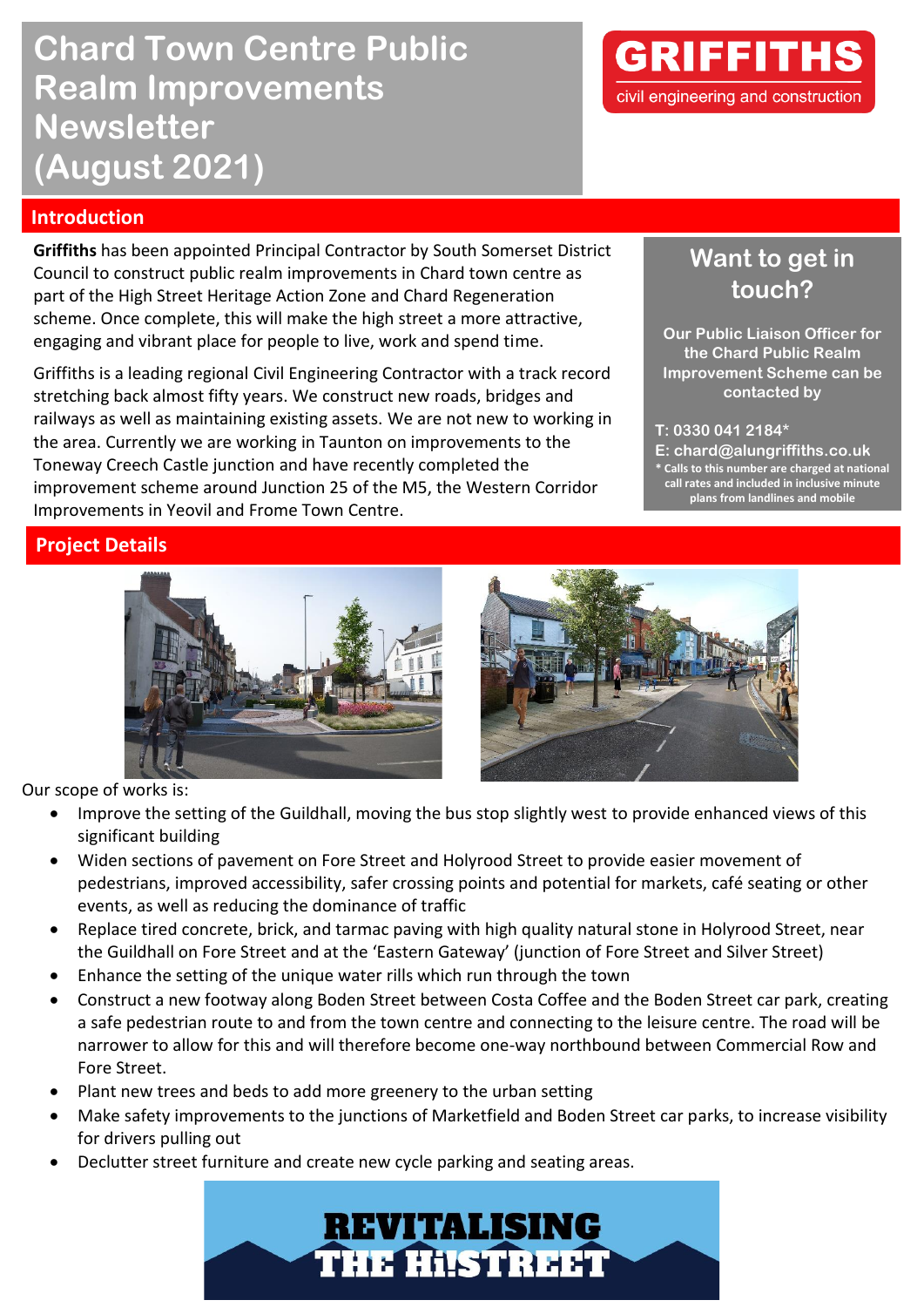# **Chard Town Centre Public Realm Improvements Newsletter (August 2021)**

# **Introduction**

**Griffiths** has been appointed Principal Contractor by South Somerset District Council to construct public realm improvements in Chard town centre as part of the High Street Heritage Action Zone and Chard Regeneration scheme. Once complete, this will make the high street a more attractive, engaging and vibrant place for people to live, work and spend time.

Griffiths is a leading regional Civil Engineering Contractor with a track record stretching back almost fifty years. We construct new roads, bridges and railways as well as maintaining existing assets. We are not new to working in the area. Currently we are working in Taunton on improvements to the Toneway Creech Castle junction and have recently completed the improvement scheme around Junction 25 of the M5, the Western Corridor Improvements in Yeovil and Frome Town Centre.



# **Want to get in touch?**

**Our Public Liaison Officer for the Chard Public Realm Improvement Scheme can be contacted by**

#### **T: 0330 041 2184\***

**E: chard@alungriffiths.co.uk \* Calls to this number are charged at national call rates and included in inclusive minute plans from landlines and mobile**

## **Project Details**





Our scope of works is:

- Improve the setting of the Guildhall, moving the bus stop slightly west to provide enhanced views of this significant building
- Widen sections of pavement on Fore Street and Holyrood Street to provide easier movement of pedestrians, improved accessibility, safer crossing points and potential for markets, café seating or other events, as well as reducing the dominance of traffic
- Replace tired concrete, brick, and tarmac paving with high quality natural stone in Holyrood Street, near the Guildhall on Fore Street and at the 'Eastern Gateway' (junction of Fore Street and Silver Street)
- Enhance the setting of the unique water rills which run through the town
- Construct a new footway along Boden Street between Costa Coffee and the Boden Street car park, creating a safe pedestrian route to and from the town centre and connecting to the leisure centre. The road will be narrower to allow for this and will therefore become one-way northbound between Commercial Row and Fore Street.
- Plant new trees and beds to add more greenery to the urban setting
- Make safety improvements to the junctions of Marketfield and Boden Street car parks, to increase visibility for drivers pulling out
- Declutter street furniture and create new cycle parking and seating areas.

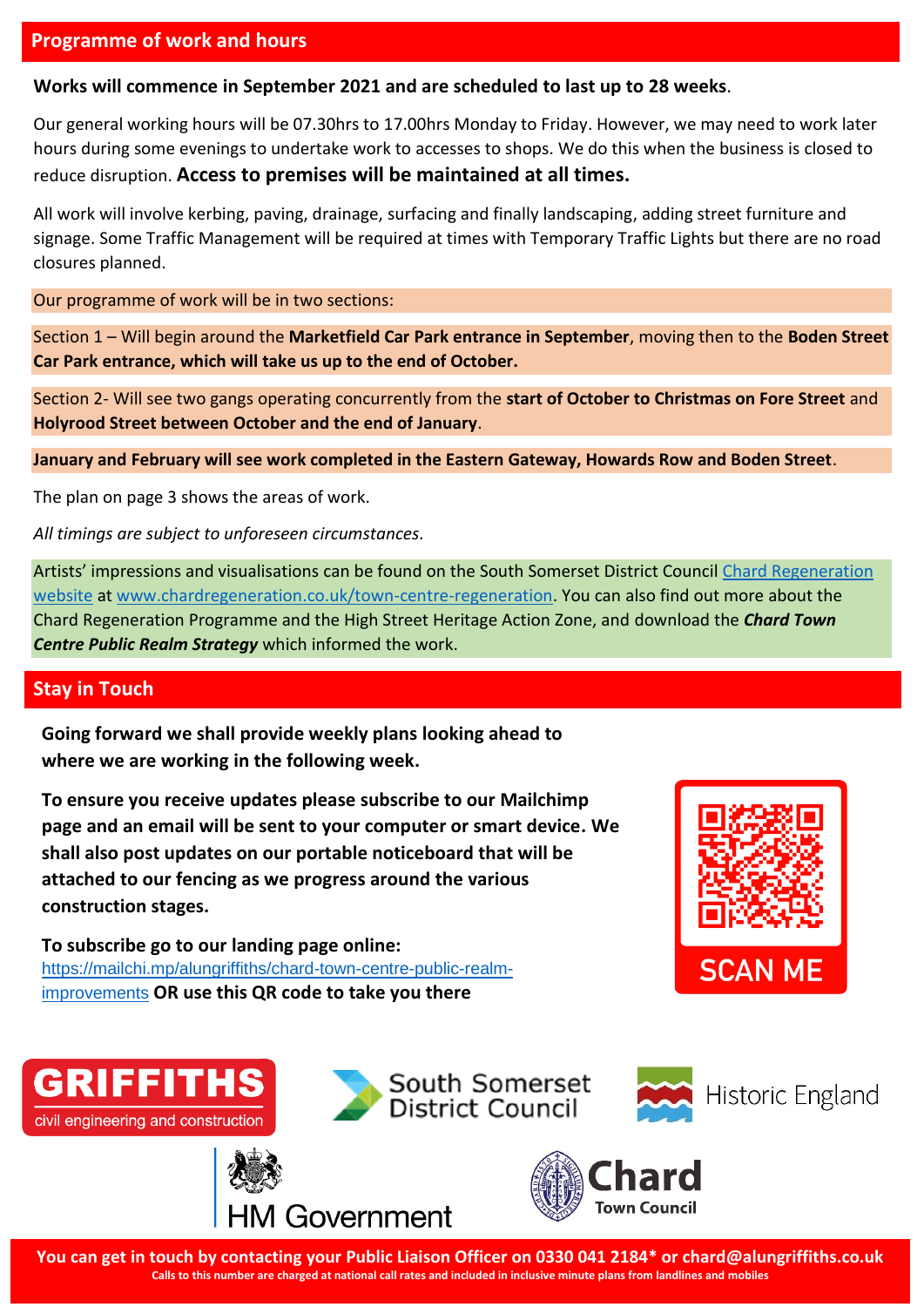### **Programme of work and hours**

#### **Works will commence in September 2021 and are scheduled to last up to 28 weeks**.

Our general working hours will be 07.30hrs to 17.00hrs Monday to Friday. However, we may need to work later hours during some evenings to undertake work to accesses to shops. We do this when the business is closed to reduce disruption. **Access to premises will be maintained at all times.**

All work will involve kerbing, paving, drainage, surfacing and finally landscaping, adding street furniture and signage. Some Traffic Management will be required at times with Temporary Traffic Lights but there are no road closures planned.

Our programme of work will be in two sections:

Section 1 – Will begin around the **Marketfield Car Park entrance in September**, moving then to the **Boden Street Car Park entrance, which will take us up to the end of October.**

Section 2- Will see two gangs operating concurrently from the **start of October to Christmas on Fore Street** and **Holyrood Street between October and the end of January**.

**January and February will see work completed in the Eastern Gateway, Howards Row and Boden Street**.

The plan on page 3 shows the areas of work.

*All timings are subject to unforeseen circumstances.*

Artists' impressions and visualisations can be found on the South Somerset District Council [Chard Regeneration](http://www.chardregeneration.co.uk/)  [website](http://www.chardregeneration.co.uk/) at [www.chardregeneration.co.uk/town-centre-regeneration.](http://www.chardregeneration.co.uk/town-centre-regeneration) You can also find out more about the Chard Regeneration Programme and the High Street Heritage Action Zone, and download the *Chard Town Centre Public Realm Strategy* which informed the work.

#### **Stay in Touch**

**Going forward we shall provide weekly plans looking ahead to where we are working in the following week.**

**To ensure you receive updates please subscribe to our Mailchimp page and an email will be sent to your computer or smart device. We shall also post updates on our portable noticeboard that will be attached to our fencing as we progress around the various construction stages.**

**To subscribe go to our landing page online:** [https://mailchi.mp/alungriffiths/chard-town-centre-public-realm](https://mailchi.mp/alungriffiths/chard-town-centre-public-realm-improvements)[improvements](https://mailchi.mp/alungriffiths/chard-town-centre-public-realm-improvements) **OR use this QR code to take you there**













**You can get in touch by contacting your Public Liaison Officer on 0330 041 2184\* or chard@alungriffiths.co.uk Calls to this number are charged at national call rates and included in inclusive minute plans from landlines and mobiles**

South Somerset